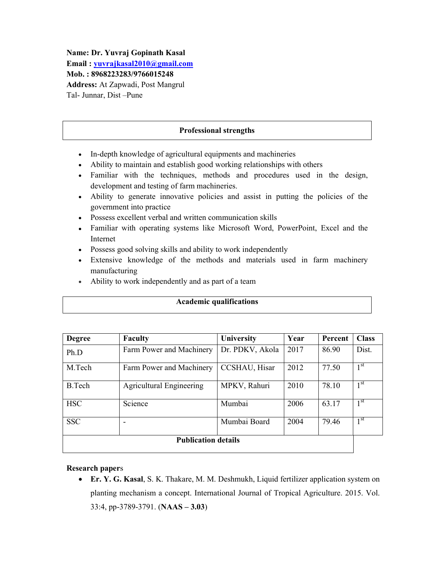Name: Dr. Yuvraj Gopinath Kasal Email : yuvrajkasal2010@gmail.com Mob. : 8968223283/9766015248 Address: At Zapwadi, Post Mangrul Tal- Junnar, Dist –Pune

## Professional strengths

- In-depth knowledge of agricultural equipments and machineries
- Ability to maintain and establish good working relationships with others
- Familiar with the techniques, methods and procedures used in the design, development and testing of farm machineries.
- Ability to generate innovative policies and assist in putting the policies of the government into practice
- Possess excellent verbal and written communication skills
- Familiar with operating systems like Microsoft Word, PowerPoint, Excel and the Internet
- Possess good solving skills and ability to work independently
- Extensive knowledge of the methods and materials used in farm machinery manufacturing
- Ability to work independently and as part of a team

#### Academic qualifications

| <b>Degree</b>              | <b>Faculty</b>                  | <b>University</b> | Year | Percent | <b>Class</b>    |  |
|----------------------------|---------------------------------|-------------------|------|---------|-----------------|--|
| Ph.D                       | Farm Power and Machinery        | Dr. PDKV, Akola   | 2017 | 86.90   | Dist.           |  |
| M.Tech                     | Farm Power and Machinery        | CCSHAU, Hisar     | 2012 | 77.50   | 1 <sup>st</sup> |  |
| <b>B.Tech</b>              | <b>Agricultural Engineering</b> | MPKV, Rahuri      | 2010 | 78.10   | 1 <sup>st</sup> |  |
| <b>HSC</b>                 | Science                         | Mumbai            | 2006 | 63.17   | 1 <sup>st</sup> |  |
| <b>SSC</b>                 | $\overline{\phantom{a}}$        | Mumbai Board      | 2004 | 79.46   | 1 <sup>st</sup> |  |
| <b>Publication details</b> |                                 |                   |      |         |                 |  |

#### Research papers

 Er. Y. G. Kasal, S. K. Thakare, M. M. Deshmukh, Liquid fertilizer application system on planting mechanism a concept. International Journal of Tropical Agriculture. 2015. Vol. 33:4, pp-3789-3791. (NAAS – 3.03)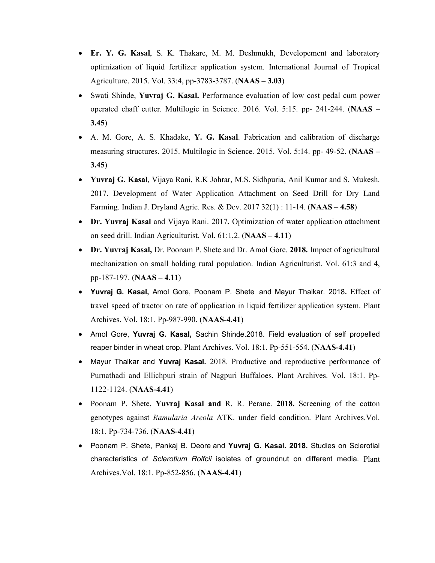- Er. Y. G. Kasal, S. K. Thakare, M. M. Deshmukh, Developement and laboratory optimization of liquid fertilizer application system. International Journal of Tropical Agriculture. 2015. Vol. 33:4, pp-3783-3787. (NAAS – 3.03)
- Swati Shinde, Yuvraj G. Kasal. Performance evaluation of low cost pedal cum power operated chaff cutter. Multilogic in Science. 2016. Vol. 5:15. pp- 241-244. (NAAS – 3.45)
- A. M. Gore, A. S. Khadake, Y. G. Kasal. Fabrication and calibration of discharge measuring structures. 2015. Multilogic in Science. 2015. Vol. 5:14. pp- 49-52. (NAAS – 3.45)
- Yuvraj G. Kasal, Vijaya Rani, R.K Johrar, M.S. Sidhpuria, Anil Kumar and S. Mukesh. 2017. Development of Water Application Attachment on Seed Drill for Dry Land Farming. Indian J. Dryland Agric. Res. & Dev. 2017 32(1) : 11-14. (NAAS – 4.58)
- Dr. Yuvraj Kasal and Vijaya Rani. 2017. Optimization of water application attachment on seed drill. Indian Agriculturist. Vol. 61:1,2. (NAAS – 4.11)
- Dr. Yuvraj Kasal, Dr. Poonam P. Shete and Dr. Amol Gore. 2018. Impact of agricultural mechanization on small holding rural population. Indian Agriculturist. Vol. 61:3 and 4, pp-187-197. (NAAS – 4.11)
- Yuvraj G. Kasal, Amol Gore, Poonam P. Shete and Mayur Thalkar. 2018. Effect of travel speed of tractor on rate of application in liquid fertilizer application system. Plant Archives. Vol. 18:1. Pp-987-990. (NAAS-4.41)
- Amol Gore, Yuvrai G. Kasal, Sachin Shinde.2018. Field evaluation of self propelled reaper binder in wheat crop. Plant Archives. Vol. 18:1. Pp-551-554. (NAAS-4.41)
- Mayur Thalkar and Yuvraj Kasal. 2018. Productive and reproductive performance of Purnathadi and Ellichpuri strain of Nagpuri Buffaloes. Plant Archives. Vol. 18:1. Pp-1122-1124. (NAAS-4.41)
- Poonam P. Shete, Yuvraj Kasal and R. R. Perane. 2018. Screening of the cotton genotypes against *Ramularia Areola* ATK. under field condition. Plant Archives.Vol. 18:1. Pp-734-736. (NAAS-4.41)
- Poonam P. Shete, Pankaj B. Deore and Yuvraj G. Kasal. 2018. Studies on Sclerotial characteristics of *Sclerotium Rolfcii* isolates of groundnut on different media. Plant Archives.Vol. 18:1. Pp-852-856. (NAAS-4.41)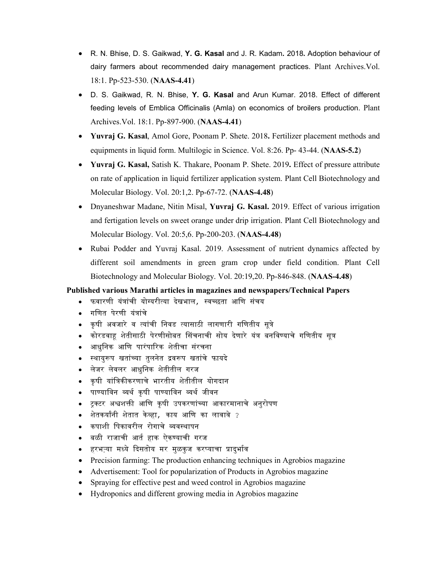- R. N. Bhise, D. S. Gaikwad, Y. G. Kasal and J. R. Kadam. 2018. Adoption behaviour of dairy farmers about recommended dairy management practices. Plant Archives.Vol. 18:1. Pp-523-530. (NAAS-4.41)
- D. S. Gaikwad, R. N. Bhise, Y. G. Kasal and Arun Kumar. 2018. Effect of different feeding levels of Emblica Officinalis (Amla) on economics of broilers production. Plant Archives.Vol. 18:1. Pp-897-900. (NAAS-4.41)
- Yuvraj G. Kasal, Amol Gore, Poonam P. Shete. 2018. Fertilizer placement methods and equipments in liquid form. Multilogic in Science. Vol. 8:26. Pp- 43-44. (NAAS-5.2)
- Yuvraj G. Kasal, Satish K. Thakare, Poonam P. Shete. 2019. Effect of pressure attribute on rate of application in liquid fertilizer application system. Plant Cell Biotechnology and Molecular Biology. Vol. 20:1,2. Pp-67-72. (NAAS-4.48)
- Dnyaneshwar Madane, Nitin Misal, Yuvraj G. Kasal. 2019. Effect of various irrigation and fertigation levels on sweet orange under drip irrigation. Plant Cell Biotechnology and Molecular Biology. Vol. 20:5,6. Pp-200-203. (NAAS-4.48)
- Rubai Podder and Yuvraj Kasal. 2019. Assessment of nutrient dynamics affected by different soil amendments in green gram crop under field condition. Plant Cell Biotechnology and Molecular Biology. Vol. 20:19,20. Pp-846-848. (NAAS-4.48)

#### Published various Marathi articles in magazines and newspapers/Technical Papers

- फवारणी यंत्रांची योग्यरीत्या देखभाल*,* स्वच्छता आणि संचय
- गणित पेरणी यंत्रांचे
- कृ षी अवजारे व यांची िनवड यासाठी लागणारी गिणतीय सूे
- कोरडवाहू शेतीसाठी पेरणीसोबत सिंचनाची सोय देणारे यंत्र बनविण्याचे गणितीय सूत्र
- आधुिनक आिण पारंपारक शेतीचा संरचना
- स्थायुरूप खतांच्या तुलनेत द्रवरूप खतांचे फायदे
- लेजर लेवलर आधुिनक शेतीतील गरज
- कृषी यांत्रिकीकरणाचे भारतीय शेतीतील योगदान
- पाण्याविन व्यर्थ कषी पाण्याविन व्यर्थ जीवन
- टुक्टर अश्वशक्ती आणि कृषी उपकरणांच्या आकारमानाचे अनुरोपण
- शेतकर्यांनी शेतात केव्हा*,* काय आणि का लावावे ?
- कपाशी िपकावरील रोगाचे वथापन
- बळी राजाची आत हाक ऐकयाची गरज
- हरभऱ्या मध्ये दिसतोय मर मुळकुज करप्याचा प्रादुर्भाव
- Precision farming: The production enhancing techniques in Agrobios magazine
- Advertisement: Tool for popularization of Products in Agrobios magazine
- Spraying for effective pest and weed control in Agrobios magazine
- Hydroponics and different growing media in Agrobios magazine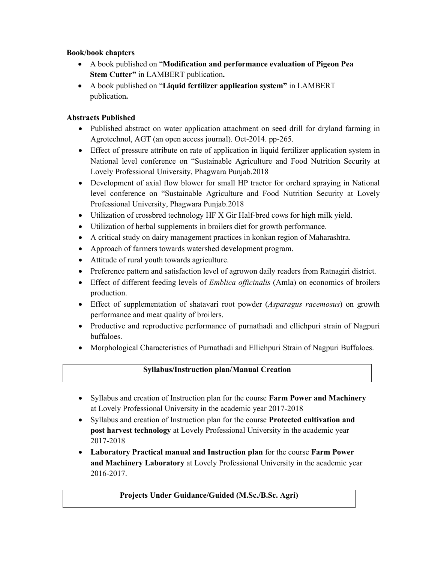## Book/book chapters

- A book published on "Modification and performance evaluation of Pigeon Pea Stem Cutter" in LAMBERT publication.
- A book published on "Liquid fertilizer application system" in LAMBERT publication.

# Abstracts Published

- Published abstract on water application attachment on seed drill for dryland farming in Agrotechnol, AGT (an open access journal). Oct-2014. pp-265.
- Effect of pressure attribute on rate of application in liquid fertilizer application system in National level conference on "Sustainable Agriculture and Food Nutrition Security at Lovely Professional University, Phagwara Punjab.2018
- Development of axial flow blower for small HP tractor for orchard spraying in National level conference on "Sustainable Agriculture and Food Nutrition Security at Lovely Professional University, Phagwara Punjab.2018
- Utilization of crossbred technology HF X Gir Half-bred cows for high milk yield.
- Utilization of herbal supplements in broilers diet for growth performance.
- A critical study on dairy management practices in konkan region of Maharashtra.
- Approach of farmers towards watershed development program.
- Attitude of rural youth towards agriculture.
- Preference pattern and satisfaction level of agrowon daily readers from Ratnagiri district.
- Effect of different feeding levels of *Emblica officinalis* (Amla) on economics of broilers production.
- Effect of supplementation of shatavari root powder (*Asparagus racemosus*) on growth performance and meat quality of broilers.
- Productive and reproductive performance of purnathadi and ellichpuri strain of Nagpuri buffaloes.
- Morphological Characteristics of Purnathadi and Ellichpuri Strain of Nagpuri Buffaloes.

# Syllabus/Instruction plan/Manual Creation

- Syllabus and creation of Instruction plan for the course Farm Power and Machinery at Lovely Professional University in the academic year 2017-2018
- Syllabus and creation of Instruction plan for the course **Protected cultivation and** post harvest technology at Lovely Professional University in the academic year 2017-2018
- Laboratory Practical manual and Instruction plan for the course Farm Power and Machinery Laboratory at Lovely Professional University in the academic year 2016-2017.

# Projects Under Guidance/Guided (M.Sc./B.Sc. Agri)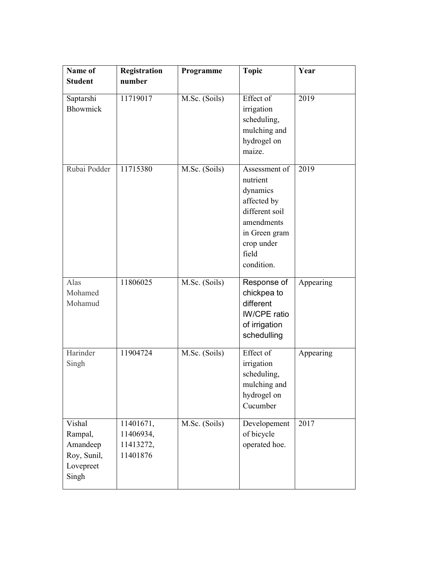| Name of                                                            | <b>Registration</b>                             | Programme     | <b>Topic</b>                                                                                                                               | Year      |
|--------------------------------------------------------------------|-------------------------------------------------|---------------|--------------------------------------------------------------------------------------------------------------------------------------------|-----------|
| <b>Student</b>                                                     | number                                          |               |                                                                                                                                            |           |
| Saptarshi<br>Bhowmick                                              | 11719017                                        | M.Sc. (Soils) | Effect of<br>irrigation<br>scheduling,<br>mulching and<br>hydrogel on<br>maize.                                                            | 2019      |
| Rubai Podder                                                       | 11715380                                        | M.Sc. (Soils) | Assessment of<br>nutrient<br>dynamics<br>affected by<br>different soil<br>amendments<br>in Green gram<br>crop under<br>field<br>condition. | 2019      |
| Alas<br>Mohamed<br>Mohamud                                         | 11806025                                        | M.Sc. (Soils) | Response of<br>chickpea to<br>different<br><b>IW/CPE</b> ratio<br>of irrigation<br>schedulling                                             | Appearing |
| Harinder<br>Singh                                                  | 11904724                                        | M.Sc. (Soils) | Effect of<br>irrigation<br>scheduling,<br>mulching and<br>hydrogel on<br>Cucumber                                                          | Appearing |
| Vishal<br>Rampal,<br>Amandeep<br>Roy, Sunil,<br>Lovepreet<br>Singh | 11401671,<br>11406934,<br>11413272,<br>11401876 | M.Sc. (Soils) | Developement<br>of bicycle<br>operated hoe.                                                                                                | 2017      |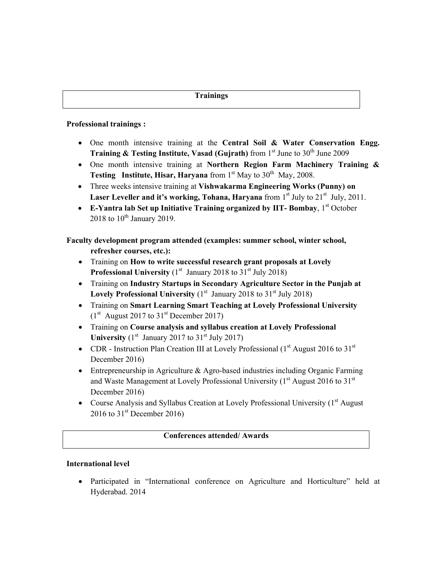#### Professional trainings :

- One month intensive training at the Central Soil & Water Conservation Engg. **Training & Testing Institute, Vasad (Gujrath)** from  $1<sup>st</sup>$  June to  $30<sup>th</sup>$  June 2009
- One month intensive training at Northern Region Farm Machinery Training & Testing Institute, Hisar, Haryana from  $1<sup>st</sup>$  May to  $30<sup>th</sup>$  May, 2008.
- Three weeks intensive training at Vishwakarma Engineering Works (Punny) on Laser Leveller and it's working, Tohana, Haryana from  $1<sup>st</sup>$  July to  $21<sup>st</sup>$  July,  $2011$ .
- **E-Yantra lab Set up Initiative Training organized by IIT- Bombay,**  $1<sup>st</sup>$  **October** 2018 to  $10^{\text{th}}$  January 2019.

Faculty development program attended (examples: summer school, winter school, refresher courses, etc.):

- Training on How to write successful research grant proposals at Lovely **Professional University** ( $1<sup>st</sup>$  January 2018 to  $31<sup>st</sup>$  July 2018)
- Training on Industry Startups in Secondary Agriculture Sector in the Punjab at Lovely Professional University  $(1<sup>st</sup>$  January 2018 to 31 $<sup>st</sup>$  July 2018)</sup>
- Training on Smart Learning Smart Teaching at Lovely Professional University  $(1<sup>st</sup>$  August 2017 to 31<sup>st</sup> December 2017)
- Training on Course analysis and syllabus creation at Lovely Professional University  $(1<sup>st</sup>$  January 2017 to 31<sup>st</sup> July 2017)
- CDR Instruction Plan Creation III at Lovely Professional  $(1<sup>st</sup>$  August 2016 to 31<sup>st</sup> December 2016)
- Entrepreneurship in Agriculture & Agro-based industries including Organic Farming and Waste Management at Lovely Professional University  $(1<sup>st</sup>$  August 2016 to 31 $<sup>st</sup>$ </sup> December 2016)
- Course Analysis and Syllabus Creation at Lovely Professional University (1<sup>st</sup> August 2016 to  $31^{\text{st}}$  December 2016)

## Conferences attended/ Awards

## International level

 Participated in "International conference on Agriculture and Horticulture" held at Hyderabad. 2014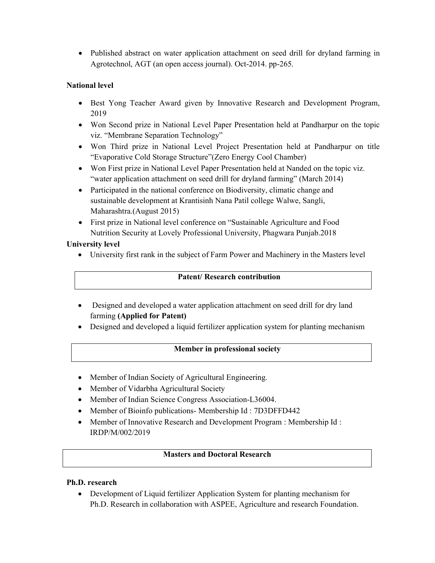• Published abstract on water application attachment on seed drill for dryland farming in Agrotechnol, AGT (an open access journal). Oct-2014. pp-265.

# National level

- Best Yong Teacher Award given by Innovative Research and Development Program, 2019
- Won Second prize in National Level Paper Presentation held at Pandharpur on the topic viz. "Membrane Separation Technology"
- Won Third prize in National Level Project Presentation held at Pandharpur on title "Evaporative Cold Storage Structure"(Zero Energy Cool Chamber)
- Won First prize in National Level Paper Presentation held at Nanded on the topic viz. "water application attachment on seed drill for dryland farming" (March 2014)
- Participated in the national conference on Biodiversity, climatic change and sustainable development at Krantisinh Nana Patil college Walwe, Sangli, Maharashtra.(August 2015)
- First prize in National level conference on "Sustainable Agriculture and Food Nutrition Security at Lovely Professional University, Phagwara Punjab.2018

# University level

University first rank in the subject of Farm Power and Machinery in the Masters level

## Patent/ Research contribution

- Designed and developed a water application attachment on seed drill for dry land farming (Applied for Patent)
- Designed and developed a liquid fertilizer application system for planting mechanism

# Member in professional society

- Member of Indian Society of Agricultural Engineering.
- Member of Vidarbha Agricultural Society
- Member of Indian Science Congress Association-L36004.
- Member of Bioinfo publications- Membership Id: 7D3DFFD442
- Member of Innovative Research and Development Program : Membership Id : IRDP/M/002/2019

# Masters and Doctoral Research

## Ph.D. research

 Development of Liquid fertilizer Application System for planting mechanism for Ph.D. Research in collaboration with ASPEE, Agriculture and research Foundation.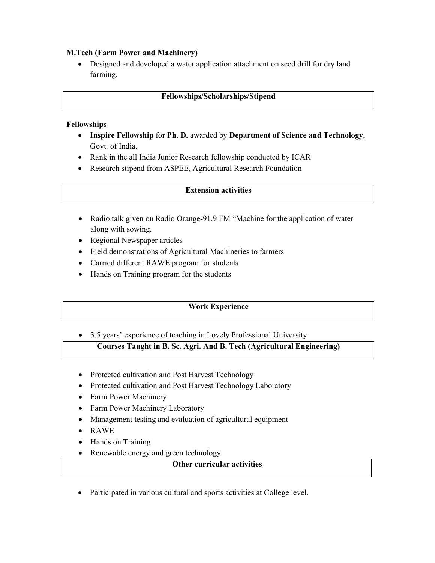## M.Tech (Farm Power and Machinery)

 Designed and developed a water application attachment on seed drill for dry land farming.

#### Fellowships/Scholarships/Stipend

#### Fellowships

- Inspire Fellowship for Ph. D. awarded by Department of Science and Technology, Govt. of India.
- Rank in the all India Junior Research fellowship conducted by ICAR
- Research stipend from ASPEE, Agricultural Research Foundation

#### Extension activities

- Radio talk given on Radio Orange-91.9 FM "Machine for the application of water along with sowing.
- Regional Newspaper articles
- Field demonstrations of Agricultural Machineries to farmers
- Carried different RAWE program for students
- Hands on Training program for the students

# Work Experience

• 3.5 years' experience of teaching in Lovely Professional University

# Courses Taught in B. Sc. Agri. And B. Tech (Agricultural Engineering)

- Protected cultivation and Post Harvest Technology
- Protected cultivation and Post Harvest Technology Laboratory
- Farm Power Machinery
- Farm Power Machinery Laboratory
- Management testing and evaluation of agricultural equipment
- RAWE
- Hands on Training
- Renewable energy and green technology

## Other curricular activities

Participated in various cultural and sports activities at College level.